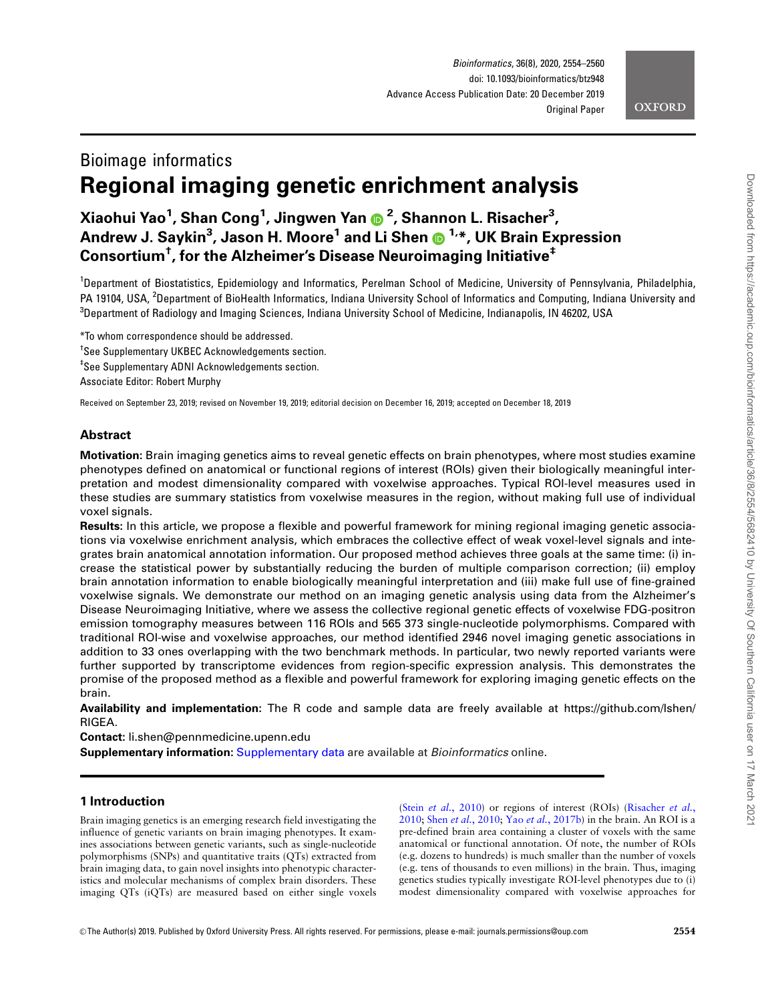

# Bioimage informatics Regional imaging genetic enrichment analysis

## Xiaohui Yao1 , Shan Cong<sup>1</sup> , Jingwen Yan <sup>2</sup> , Shannon L. Risacher3 , Andrew J. Saykin<sup>3</sup> , Jason H. Moore<sup>1</sup> and Li Shen 1,\*, UK Brain Expression Consortium $^\dagger$ , for the Alzheimer's Disease Neuroimaging Initiative $^\ddag$

<sup>1</sup>Department of Biostatistics, Epidemiology and Informatics, Perelman School of Medicine, University of Pennsylvania, Philadelphia, PA 19104, USA, <sup>2</sup>Department of BioHealth Informatics, Indiana University School of Informatics and Computing, Indiana University and <sup>3</sup>Department of Radiology and Imaging Sciences, Indiana University School of Medicine, Indianapolis, IN 46202, USA

\*To whom correspondence should be addressed.

† See Supplementary UKBEC Acknowledgements section.

‡ See Supplementary ADNI Acknowledgements section.

Associate Editor: Robert Murphy

Received on September 23, 2019; revised on November 19, 2019; editorial decision on December 16, 2019; accepted on December 18, 2019

## Abstract

Motivation: Brain imaging genetics aims to reveal genetic effects on brain phenotypes, where most studies examine phenotypes defined on anatomical or functional regions of interest (ROIs) given their biologically meaningful interpretation and modest dimensionality compared with voxelwise approaches. Typical ROI-level measures used in these studies are summary statistics from voxelwise measures in the region, without making full use of individual voxel signals.

Results: In this article, we propose a flexible and powerful framework for mining regional imaging genetic associations via voxelwise enrichment analysis, which embraces the collective effect of weak voxel-level signals and integrates brain anatomical annotation information. Our proposed method achieves three goals at the same time: (i) increase the statistical power by substantially reducing the burden of multiple comparison correction; (ii) employ brain annotation information to enable biologically meaningful interpretation and (iii) make full use of fine-grained voxelwise signals. We demonstrate our method on an imaging genetic analysis using data from the Alzheimer's Disease Neuroimaging Initiative, where we assess the collective regional genetic effects of voxelwise FDG-positron emission tomography measures between 116 ROIs and 565 373 single-nucleotide polymorphisms. Compared with traditional ROI-wise and voxelwise approaches, our method identified 2946 novel imaging genetic associations in addition to 33 ones overlapping with the two benchmark methods. In particular, two newly reported variants were further supported by transcriptome evidences from region-specific expression analysis. This demonstrates the promise of the proposed method as a flexible and powerful framework for exploring imaging genetic effects on the brain.

Availability and implementation: The R code and sample data are freely available at [https://github.com/lshen/](https://github.com/lshen/RIGEA) [RIGEA](https://github.com/lshen/RIGEA).

Contact: li.shen@pennmedicine.upenn.edu

Supplementary information: [Supplementary data](https://academic.oup.com/bioinformatics/article-lookup/doi/10.1093/bioinformatics/btz948#supplementary-data) are available at Bioinformatics online.

## 1 Introduction

Brain imaging genetics is an emerging research field investigating the influence of genetic variants on brain imaging phenotypes. It examines associations between genetic variants, such as single-nucleotide polymorphisms (SNPs) and quantitative traits (QTs) extracted from brain imaging data, to gain novel insights into phenotypic characteristics and molecular mechanisms of complex brain disorders. These imaging QTs (iQTs) are measured based on either single voxels

(Stein et al.[, 2010](#page-6-0)) or regions of interest (ROIs) [\(Risacher](#page-6-0) et al., [2010;](#page-6-0) Shen et al.[, 2010;](#page-6-0) Yao et al.[, 2017b\)](#page-6-0) in the brain. An ROI is a pre-defined brain area containing a cluster of voxels with the same anatomical or functional annotation. Of note, the number of ROIs (e.g. dozens to hundreds) is much smaller than the number of voxels (e.g. tens of thousands to even millions) in the brain. Thus, imaging genetics studies typically investigate ROI-level phenotypes due to (i) modest dimensionality compared with voxelwise approaches for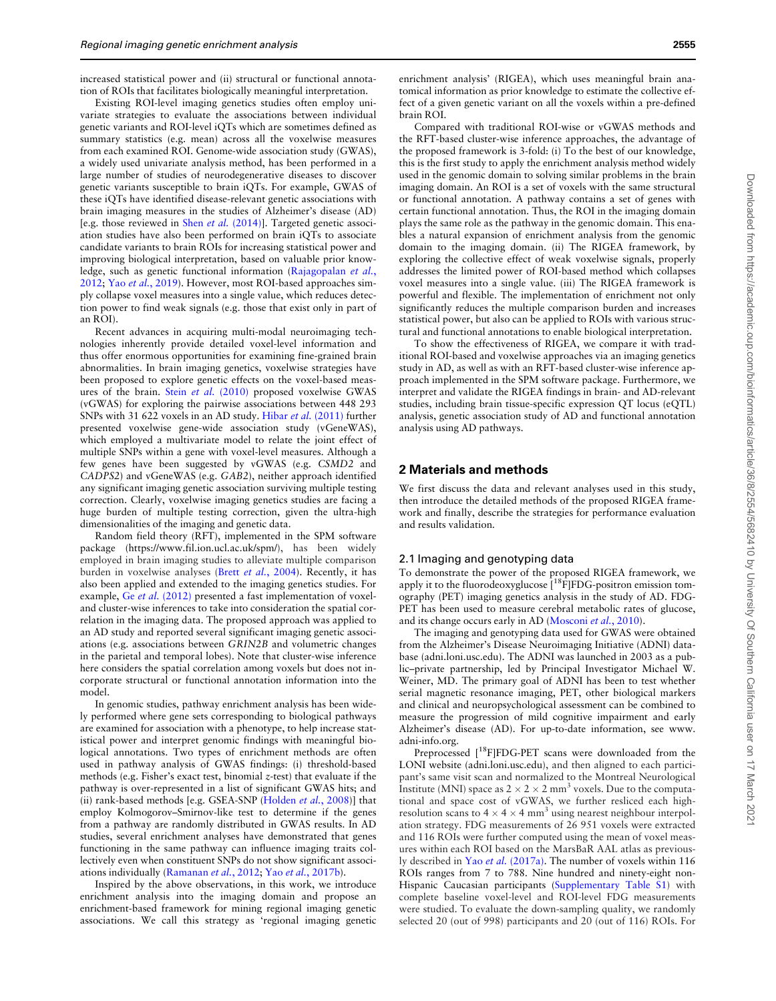increased statistical power and (ii) structural or functional annotation of ROIs that facilitates biologically meaningful interpretation.

Existing ROI-level imaging genetics studies often employ univariate strategies to evaluate the associations between individual genetic variants and ROI-level iQTs which are sometimes defined as summary statistics (e.g. mean) across all the voxelwise measures from each examined ROI. Genome-wide association study (GWAS), a widely used univariate analysis method, has been performed in a large number of studies of neurodegenerative diseases to discover genetic variants susceptible to brain iQTs. For example, GWAS of these iQTs have identified disease-relevant genetic associations with brain imaging measures in the studies of Alzheimer's disease (AD) [e.g. those reviewed in Shen *et al.*  $(2014)$ ]. Targeted genetic association studies have also been performed on brain iQTs to associate candidate variants to brain ROIs for increasing statistical power and improving biological interpretation, based on valuable prior knowledge, such as genetic functional information ([Rajagopalan](#page-6-0) et al., [2012;](#page-6-0) Yao et al.[, 2019](#page-6-0)). However, most ROI-based approaches simply collapse voxel measures into a single value, which reduces detection power to find weak signals (e.g. those that exist only in part of an ROI).

Recent advances in acquiring multi-modal neuroimaging technologies inherently provide detailed voxel-level information and thus offer enormous opportunities for examining fine-grained brain abnormalities. In brain imaging genetics, voxelwise strategies have been proposed to explore genetic effects on the voxel-based measures of the brain. Stein et al. [\(2010\)](#page-6-0) proposed voxelwise GWAS (vGWAS) for exploring the pairwise associations between 448 293 SNPs with 31 622 voxels in an AD study. Hibar et al. [\(2011\)](#page-6-0) further presented voxelwise gene-wide association study (vGeneWAS), which employed a multivariate model to relate the joint effect of multiple SNPs within a gene with voxel-level measures. Although a few genes have been suggested by vGWAS (e.g. CSMD2 and CADPS2) and vGeneWAS (e.g. GAB2), neither approach identified any significant imaging genetic association surviving multiple testing correction. Clearly, voxelwise imaging genetics studies are facing a huge burden of multiple testing correction, given the ultra-high dimensionalities of the imaging and genetic data.

Random field theory (RFT), implemented in the SPM software package ([https://www.fil.ion.ucl.ac.uk/spm/\)](https://www.fil.ion.ucl.ac.uk/spm/), has been widely employed in brain imaging studies to alleviate multiple comparison burden in voxelwise analyses (Brett et al.[, 2004\)](#page-6-0). Recently, it has also been applied and extended to the imaging genetics studies. For example, Ge et al. [\(2012\)](#page-6-0) presented a fast implementation of voxeland cluster-wise inferences to take into consideration the spatial correlation in the imaging data. The proposed approach was applied to an AD study and reported several significant imaging genetic associations (e.g. associations between GRIN2B and volumetric changes in the parietal and temporal lobes). Note that cluster-wise inference here considers the spatial correlation among voxels but does not incorporate structural or functional annotation information into the model.

In genomic studies, pathway enrichment analysis has been widely performed where gene sets corresponding to biological pathways are examined for association with a phenotype, to help increase statistical power and interpret genomic findings with meaningful biological annotations. Two types of enrichment methods are often used in pathway analysis of GWAS findings: (i) threshold-based methods (e.g. Fisher's exact test, binomial z-test) that evaluate if the pathway is over-represented in a list of significant GWAS hits; and (ii) rank-based methods [e.g. GSEA-SNP [\(Holden](#page-6-0) et al., 2008)] that employ Kolmogorov–Smirnov-like test to determine if the genes from a pathway are randomly distributed in GWAS results. In AD studies, several enrichment analyses have demonstrated that genes functioning in the same pathway can influence imaging traits collectively even when constituent SNPs do not show significant associations individually [\(Ramanan](#page-6-0) et al., 2012; Yao et al.[, 2017b](#page-6-0)).

Inspired by the above observations, in this work, we introduce enrichment analysis into the imaging domain and propose an enrichment-based framework for mining regional imaging genetic associations. We call this strategy as 'regional imaging genetic

enrichment analysis' (RIGEA), which uses meaningful brain anatomical information as prior knowledge to estimate the collective effect of a given genetic variant on all the voxels within a pre-defined brain ROI.

Compared with traditional ROI-wise or vGWAS methods and the RFT-based cluster-wise inference approaches, the advantage of the proposed framework is 3-fold: (i) To the best of our knowledge, this is the first study to apply the enrichment analysis method widely used in the genomic domain to solving similar problems in the brain imaging domain. An ROI is a set of voxels with the same structural or functional annotation. A pathway contains a set of genes with certain functional annotation. Thus, the ROI in the imaging domain plays the same role as the pathway in the genomic domain. This enables a natural expansion of enrichment analysis from the genomic domain to the imaging domain. (ii) The RIGEA framework, by exploring the collective effect of weak voxelwise signals, properly addresses the limited power of ROI-based method which collapses voxel measures into a single value. (iii) The RIGEA framework is powerful and flexible. The implementation of enrichment not only significantly reduces the multiple comparison burden and increases statistical power, but also can be applied to ROIs with various structural and functional annotations to enable biological interpretation.

To show the effectiveness of RIGEA, we compare it with traditional ROI-based and voxelwise approaches via an imaging genetics study in AD, as well as with an RFT-based cluster-wise inference approach implemented in the SPM software package. Furthermore, we interpret and validate the RIGEA findings in brain- and AD-relevant studies, including brain tissue-specific expression QT locus (eQTL) analysis, genetic association study of AD and functional annotation analysis using AD pathways.

## 2 Materials and methods

We first discuss the data and relevant analyses used in this study, then introduce the detailed methods of the proposed RIGEA framework and finally, describe the strategies for performance evaluation and results validation.

#### 2.1 Imaging and genotyping data

To demonstrate the power of the proposed RIGEA framework, we apply it to the fluorodeoxyglucose [<sup>18</sup>F]FDG-positron emission tomography (PET) imaging genetics analysis in the study of AD. FDG-PET has been used to measure cerebral metabolic rates of glucose, and its change occurs early in AD [\(Mosconi](#page-6-0) et al., 2010).

The imaging and genotyping data used for GWAS were obtained from the Alzheimer's Disease Neuroimaging Initiative (ADNI) database (adni.loni.usc.edu). The ADNI was launched in 2003 as a public–private partnership, led by Principal Investigator Michael W. Weiner, MD. The primary goal of ADNI has been to test whether serial magnetic resonance imaging, PET, other biological markers and clinical and neuropsychological assessment can be combined to measure the progression of mild cognitive impairment and early Alzheimer's disease (AD). For up-to-date information, see [www.](http://www.adni-info.org) [adni-info.org](http://www.adni-info.org).

Preprocessed [<sup>18</sup>F]FDG-PET scans were downloaded from the LONI website ([adni.loni.usc.edu](http://adni.loni.usc.edu)), and then aligned to each participant's same visit scan and normalized to the Montreal Neurological Institute (MNI) space as  $2 \times 2 \times 2$  mm<sup>3</sup> voxels. Due to the computational and space cost of vGWAS, we further resliced each highresolution scans to  $4 \times 4 \times 4$  mm<sup>3</sup> using nearest neighbour interpolation strategy. FDG measurements of 26 951 voxels were extracted and 116 ROIs were further computed using the mean of voxel measures within each ROI based on the MarsBaR AAL atlas as previously described in Yao et al. [\(2017a\).](#page-6-0) The number of voxels within 116 ROIs ranges from 7 to 788. Nine hundred and ninety-eight non-Hispanic Caucasian participants [\(Supplementary Table S1](https://academic.oup.com/bioinformatics/article-lookup/doi/10.1093/bioinformatics/btz948#supplementary-data)) with complete baseline voxel-level and ROI-level FDG measurements were studied. To evaluate the down-sampling quality, we randomly selected 20 (out of 998) participants and 20 (out of 116) ROIs. For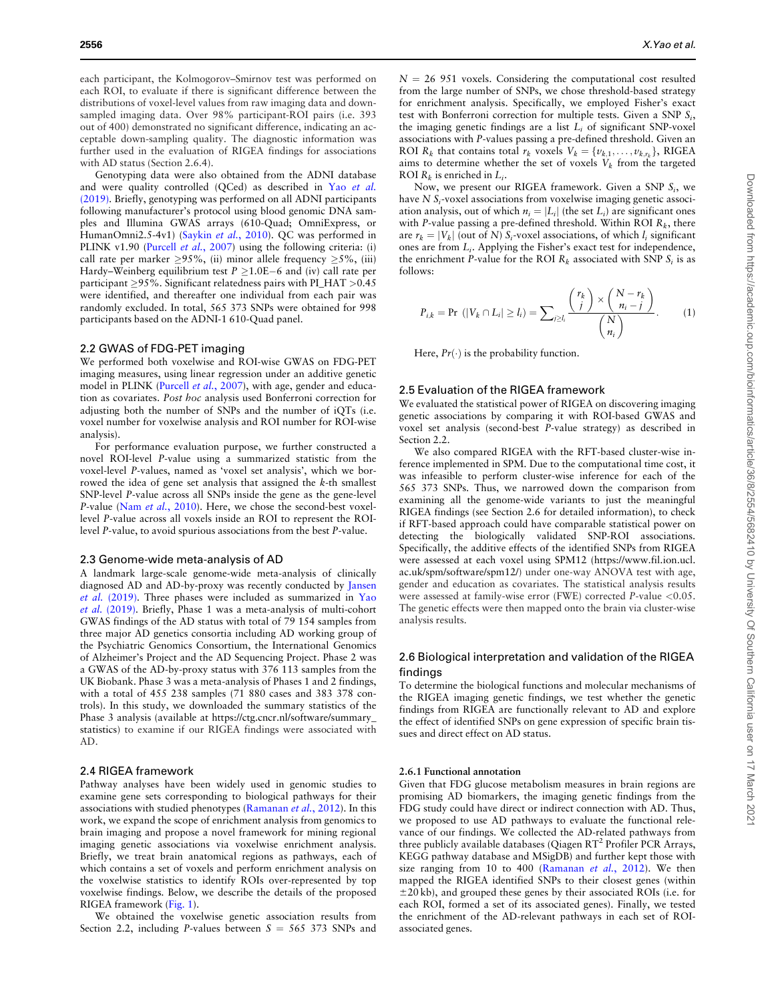<span id="page-2-0"></span>each participant, the Kolmogorov–Smirnov test was performed on each ROI, to evaluate if there is significant difference between the distributions of voxel-level values from raw imaging data and downsampled imaging data. Over 98% participant-ROI pairs (i.e. 393 out of 400) demonstrated no significant difference, indicating an acceptable down-sampling quality. The diagnostic information was further used in the evaluation of RIGEA findings for associations with AD status (Section 2.6.4).

Genotyping data were also obtained from the ADNI database and were quality controlled (QCed) as described in Yao [et al.](#page-6-0) [\(2019\)](#page-6-0). Briefly, genotyping was performed on all ADNI participants following manufacturer's protocol using blood genomic DNA samples and Illumina GWAS arrays (610-Quad; OmniExpress, or HumanOmni2.5-4v1) [\(Saykin](#page-6-0) et al., 2010). QC was performed in PLINK v1.90 ([Purcell](#page-6-0) et al., 2007) using the following criteria: (i) call rate per marker  $\geq$ 95%, (ii) minor allele frequency  $\geq$ 5%, (iii) Hardy–Weinberg equilibrium test  $P \ge 1.0E-6$  and (iv) call rate per participant  $\geq$ 95%. Significant relatedness pairs with PI\_HAT  $>$ 0.45 were identified, and thereafter one individual from each pair was randomly excluded. In total, 565 373 SNPs were obtained for 998 participants based on the ADNI-1 610-Quad panel.

#### 2.2 GWAS of FDG-PET imaging

We performed both voxelwise and ROI-wise GWAS on FDG-PET imaging measures, using linear regression under an additive genetic model in PLINK ([Purcell](#page-6-0) et al., 2007), with age, gender and education as covariates. Post hoc analysis used Bonferroni correction for adjusting both the number of SNPs and the number of iQTs (i.e. voxel number for voxelwise analysis and ROI number for ROI-wise analysis).

For performance evaluation purpose, we further constructed a novel ROI-level P-value using a summarized statistic from the voxel-level P-values, named as 'voxel set analysis', which we borrowed the idea of gene set analysis that assigned the k-th smallest SNP-level P-value across all SNPs inside the gene as the gene-level P-value (Nam et al.[, 2010](#page-6-0)). Here, we chose the second-best voxellevel P-value across all voxels inside an ROI to represent the ROIlevel P-value, to avoid spurious associations from the best P-value.

#### 2.3 Genome-wide meta-analysis of AD

A landmark large-scale genome-wide meta-analysis of clinically diagnosed AD and AD-by-proxy was recently conducted by [Jansen](#page-6-0) et al. [\(2019\)](#page-6-0). Three phases were included as summarized in [Yao](#page-6-0) et al. [\(2019\).](#page-6-0) Briefly, Phase 1 was a meta-analysis of multi-cohort GWAS findings of the AD status with total of 79 154 samples from three major AD genetics consortia including AD working group of the Psychiatric Genomics Consortium, the International Genomics of Alzheimer's Project and the AD Sequencing Project. Phase 2 was a GWAS of the AD-by-proxy status with 376 113 samples from the UK Biobank. Phase 3 was a meta-analysis of Phases 1 and 2 findings, with a total of 455 238 samples (71 880 cases and 383 378 controls). In this study, we downloaded the summary statistics of the Phase 3 analysis (available at [https://ctg.cncr.nl/software/summary\\_](https://ctg.cncr.nl/software/summary_statistics) [statistics](https://ctg.cncr.nl/software/summary_statistics)) to examine if our RIGEA findings were associated with AD.

## 2.4 RIGEA framework

Pathway analyses have been widely used in genomic studies to examine gene sets corresponding to biological pathways for their associations with studied phenotypes ([Ramanan](#page-6-0) et al., 2012). In this work, we expand the scope of enrichment analysis from genomics to brain imaging and propose a novel framework for mining regional imaging genetic associations via voxelwise enrichment analysis. Briefly, we treat brain anatomical regions as pathways, each of which contains a set of voxels and perform enrichment analysis on the voxelwise statistics to identify ROIs over-represented by top voxelwise findings. Below, we describe the details of the proposed RIGEA framework [\(Fig. 1](#page-3-0)).

We obtained the voxelwise genetic association results from Section 2.2, including P-values between  $S = 565373$  SNPs and

 $N = 26$  951 voxels. Considering the computational cost resulted from the large number of SNPs, we chose threshold-based strategy for enrichment analysis. Specifically, we employed Fisher's exact test with Bonferroni correction for multiple tests. Given a SNP  $S_i$ , the imaging genetic findings are a list  $L_i$  of significant SNP-voxel associations with P-values passing a pre-defined threshold. Given an ROI  $R_k$  that contains total  $r_k$  voxels  $V_k = \{v_{k,1}, \ldots, v_{k,r_k}\}\$ , RIGEA aims to determine whether the set of voxels  $V_k$  from the targeted ROI  $R_k$  is enriched in  $L_i$ .

Now, we present our RIGEA framework. Given a SNP  $S_i$ , we have  $N S_i$ -voxel associations from voxelwise imaging genetic association analysis, out of which  $n_i = |L_i|$  (the set  $L_i$ ) are significant ones with P-value passing a pre-defined threshold. Within ROI  $R<sub>k</sub>$ , there are  $r_k = |V_k|$  (out of N) S<sub>i</sub>-voxel associations, of which  $l_i$  significant ones are from Li. Applying the Fisher's exact test for independence, the enrichment P-value for the ROI  $R_k$  associated with SNP  $S_i$  is as follows:

$$
P_{i,k} = \Pr\left(|V_k \cap L_i| \geq l_i\right) = \sum_{j \geq l_i} \frac{\binom{r_k}{j} \times \binom{N - r_k}{n_i - j}}{\binom{N}{n_i}}.\tag{1}
$$

Here,  $Pr(\cdot)$  is the probability function.

#### 2.5 Evaluation of the RIGEA framework

We evaluated the statistical power of RIGEA on discovering imaging genetic associations by comparing it with ROI-based GWAS and voxel set analysis (second-best P-value strategy) as described in Section 2.2.

We also compared RIGEA with the RFT-based cluster-wise inference implemented in SPM. Due to the computational time cost, it was infeasible to perform cluster-wise inference for each of the 565 373 SNPs. Thus, we narrowed down the comparison from examining all the genome-wide variants to just the meaningful RIGEA findings (see Section 2.6 for detailed information), to check if RFT-based approach could have comparable statistical power on detecting the biologically validated SNP-ROI associations. Specifically, the additive effects of the identified SNPs from RIGEA were assessed at each voxel using SPM12 [\(https://www.fil.ion.ucl.](https://www.fil.ion.ucl.ac.uk/spm/software/spm12/) [ac.uk/spm/software/spm12/](https://www.fil.ion.ucl.ac.uk/spm/software/spm12/)) under one-way ANOVA test with age, gender and education as covariates. The statistical analysis results were assessed at family-wise error (FWE) corrected P-value <0.05. The genetic effects were then mapped onto the brain via cluster-wise analysis results.

## 2.6 Biological interpretation and validation of the RIGEA findings

To determine the biological functions and molecular mechanisms of the RIGEA imaging genetic findings, we test whether the genetic findings from RIGEA are functionally relevant to AD and explore the effect of identified SNPs on gene expression of specific brain tissues and direct effect on AD status.

#### 2.6.1 Functional annotation

Given that FDG glucose metabolism measures in brain regions are promising AD biomarkers, the imaging genetic findings from the FDG study could have direct or indirect connection with AD. Thus, we proposed to use AD pathways to evaluate the functional relevance of our findings. We collected the AD-related pathways from three publicly available databases (Qiagen  $RT^2$  Profiler PCR Arrays, KEGG pathway database and MSigDB) and further kept those with size ranging from 10 to 400 [\(Ramanan](#page-6-0) et al., 2012). We then mapped the RIGEA identified SNPs to their closest genes (within  $\pm$ 20 kb), and grouped these genes by their associated ROIs (i.e. for each ROI, formed a set of its associated genes). Finally, we tested the enrichment of the AD-relevant pathways in each set of ROIassociated genes.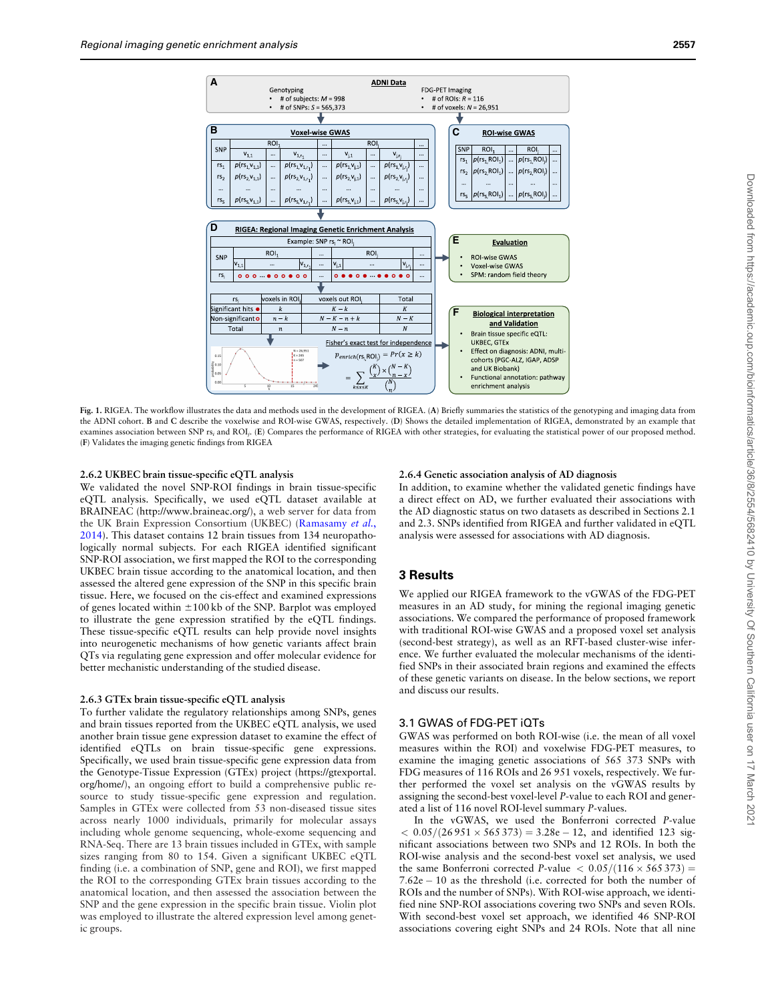<span id="page-3-0"></span>

Fig. 1. RIGEA. The workflow illustrates the data and methods used in the development of RIGEA. (A) Briefly summaries the statistics of the genotyping and imaging data from the ADNI cohort. B and C describe the voxelwise and ROI-wise GWAS, respectively. (D) Shows the detailed implementation of RIGEA, demonstrated by an example that examines association between SNP rs<sub>i</sub> and ROI<sub>j</sub>. (E) Compares the performance of RIGEA with other strategies, for evaluating the statistical power of our proposed method. (F) Validates the imaging genetic findings from RIGEA

## 2.6.2 UKBEC brain tissue-specific eQTL analysis

We validated the novel SNP-ROI findings in brain tissue-specific eQTL analysis. Specifically, we used eQTL dataset available at BRAINEAC [\(http://www.braineac.org/](http://www.braineac.org/)), a web server for data from the UK Brain Expression Consortium (UKBEC) ([Ramasamy](#page-6-0) et al., [2014\)](#page-6-0). This dataset contains 12 brain tissues from 134 neuropathologically normal subjects. For each RIGEA identified significant SNP-ROI association, we first mapped the ROI to the corresponding UKBEC brain tissue according to the anatomical location, and then assessed the altered gene expression of the SNP in this specific brain tissue. Here, we focused on the cis-effect and examined expressions of genes located within  $\pm 100 \text{ kb}$  of the SNP. Barplot was employed to illustrate the gene expression stratified by the eQTL findings. These tissue-specific eQTL results can help provide novel insights into neurogenetic mechanisms of how genetic variants affect brain QTs via regulating gene expression and offer molecular evidence for better mechanistic understanding of the studied disease.

#### 2.6.3 GTEx brain tissue-specific eQTL analysis

To further validate the regulatory relationships among SNPs, genes and brain tissues reported from the UKBEC eQTL analysis, we used another brain tissue gene expression dataset to examine the effect of identified eQTLs on brain tissue-specific gene expressions. Specifically, we used brain tissue-specific gene expression data from the Genotype-Tissue Expression (GTEx) project ([https://gtexportal.](https://gtexportal.org/home/) [org/home/](https://gtexportal.org/home/)), an ongoing effort to build a comprehensive public resource to study tissue-specific gene expression and regulation. Samples in GTEx were collected from 53 non-diseased tissue sites across nearly 1000 individuals, primarily for molecular assays including whole genome sequencing, whole-exome sequencing and RNA-Seq. There are 13 brain tissues included in GTEx, with sample sizes ranging from 80 to 154. Given a significant UKBEC eQTL finding (i.e. a combination of SNP, gene and ROI), we first mapped the ROI to the corresponding GTEx brain tissues according to the anatomical location, and then assessed the association between the SNP and the gene expression in the specific brain tissue. Violin plot was employed to illustrate the altered expression level among genetic groups.

### 2.6.4 Genetic association analysis of AD diagnosis

In addition, to examine whether the validated genetic findings have a direct effect on AD, we further evaluated their associations with the AD diagnostic status on two datasets as described in Sections 2.1 and 2.3. SNPs identified from RIGEA and further validated in eQTL analysis were assessed for associations with AD diagnosis.

## 3 Results

We applied our RIGEA framework to the vGWAS of the FDG-PET measures in an AD study, for mining the regional imaging genetic associations. We compared the performance of proposed framework with traditional ROI-wise GWAS and a proposed voxel set analysis (second-best strategy), as well as an RFT-based cluster-wise inference. We further evaluated the molecular mechanisms of the identified SNPs in their associated brain regions and examined the effects of these genetic variants on disease. In the below sections, we report and discuss our results.

## 3.1 GWAS of FDG-PET iQTs

GWAS was performed on both ROI-wise (i.e. the mean of all voxel measures within the ROI) and voxelwise FDG-PET measures, to examine the imaging genetic associations of 565 373 SNPs with FDG measures of 116 ROIs and 26 951 voxels, respectively. We further performed the voxel set analysis on the vGWAS results by assigning the second-best voxel-level P-value to each ROI and generated a list of 116 novel ROI-level summary P-values.

In the vGWAS, we used the Bonferroni corrected P-value  $< 0.05/(26951 \times 565373) = 3.28e - 12$ , and identified 123 significant associations between two SNPs and 12 ROIs. In both the ROI-wise analysis and the second-best voxel set analysis, we used the same Bonferroni corrected P-value  $\langle 0.05/(116 \times 565373) \rangle$  $7.62e - 10$  as the threshold (i.e. corrected for both the number of ROIs and the number of SNPs). With ROI-wise approach, we identified nine SNP-ROI associations covering two SNPs and seven ROIs. With second-best voxel set approach, we identified 46 SNP-ROI associations covering eight SNPs and 24 ROIs. Note that all nine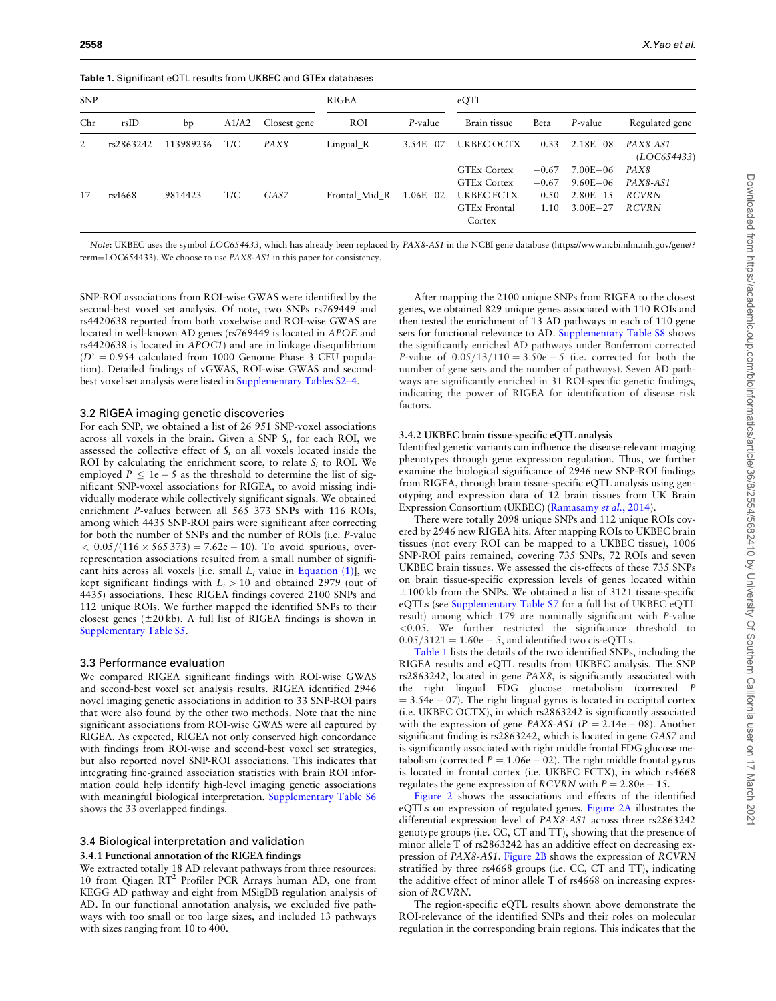<span id="page-4-0"></span>Table 1. Significant eQTL results from UKBEC and GTEx databases

| <b>SNP</b> |           |           |       | <b>RIGEA</b> |               | eQTL         |                     |         |              |                        |
|------------|-----------|-----------|-------|--------------|---------------|--------------|---------------------|---------|--------------|------------------------|
| Chr        | rsID      | bp        | A1/A2 | Closest gene | <b>ROI</b>    | P-value      | Brain tissue        | Beta    | P-value      | Regulated gene         |
| 2          | rs2863242 | 113989236 | T/C   | PAX8         | $Lingual_R$   | $3.54E - 07$ | UKBEC OCTX          | $-0.33$ | $2.18E - 08$ | PAX8-AS1<br>(LOG54433) |
|            |           |           |       |              |               |              | <b>GTEx Cortex</b>  | $-0.67$ | $7.00E - 06$ | PAX8                   |
|            |           |           |       |              |               |              | <b>GTEx Cortex</b>  | $-0.67$ | $9.60E - 06$ | PAX8-AS1               |
| 17         | rs4668    | 9814423   | T/C   | GAS7         | Frontal Mid R | $1.06E - 02$ | UKBEC FCTX          | 0.50    | $2.80E - 15$ | <b>RCVRN</b>           |
|            |           |           |       |              |               |              | <b>GTEx Frontal</b> | 1.10    | $3.00E - 27$ | <b>RCVRN</b>           |
|            |           |           |       |              |               |              | Cortex              |         |              |                        |

Note: UKBEC uses the symbol LOC654433, which has already been replaced by PAX8-AS1 in the NCBI gene database ([https://www.ncbi.nlm.nih.gov/gene/?](https://www.ncbi.nlm.nih.gov/gene/? term=LOC654433) [term](https://www.ncbi.nlm.nih.gov/gene/? term=LOC654433)=[LOC654433\)](https://www.ncbi.nlm.nih.gov/gene/? term=LOC654433). We choose to use PAX8-AS1 in this paper for consistency.

SNP-ROI associations from ROI-wise GWAS were identified by the second-best voxel set analysis. Of note, two SNPs rs769449 and rs4420638 reported from both voxelwise and ROI-wise GWAS are located in well-known AD genes (rs769449 is located in APOE and rs4420638 is located in APOC1) and are in linkage disequilibrium  $(D' = 0.954$  calculated from 1000 Genome Phase 3 CEU population). Detailed findings of vGWAS, ROI-wise GWAS and secondbest voxel set analysis were listed in [Supplementary Tables S2–4.](https://academic.oup.com/bioinformatics/article-lookup/doi/10.1093/bioinformatics/btz948#supplementary-data)

#### 3.2 RIGEA imaging genetic discoveries

For each SNP, we obtained a list of 26 951 SNP-voxel associations across all voxels in the brain. Given a SNP  $S_i$ , for each ROI, we assessed the collective effect of  $S_i$  on all voxels located inside the ROI by calculating the enrichment score, to relate  $S_i$  to ROI. We employed  $P \le 1e - 5$  as the threshold to determine the list of significant SNP-voxel associations for RIGEA, to avoid missing individually moderate while collectively significant signals. We obtained enrichment P-values between all 565 373 SNPs with 116 ROIs, among which 4435 SNP-ROI pairs were significant after correcting for both the number of SNPs and the number of ROIs (i.e. P-value  $< 0.05/(116 \times 565373) = 7.62e - 10$ . To avoid spurious, overrepresentation associations resulted from a small number of significant hits across all voxels [i.e. small  $L_i$  value in [Equation \(1\)](#page-2-0)], we kept significant findings with  $L<sub>i</sub> > 10$  and obtained 2979 (out of 4435) associations. These RIGEA findings covered 2100 SNPs and 112 unique ROIs. We further mapped the identified SNPs to their closest genes  $(\pm 20 \text{ kb})$ . A full list of RIGEA findings is shown in [Supplementary Table S5](https://academic.oup.com/bioinformatics/article-lookup/doi/10.1093/bioinformatics/btz948#supplementary-data).

#### 3.3 Performance evaluation

We compared RIGEA significant findings with ROI-wise GWAS and second-best voxel set analysis results. RIGEA identified 2946 novel imaging genetic associations in addition to 33 SNP-ROI pairs that were also found by the other two methods. Note that the nine significant associations from ROI-wise GWAS were all captured by RIGEA. As expected, RIGEA not only conserved high concordance with findings from ROI-wise and second-best voxel set strategies, but also reported novel SNP-ROI associations. This indicates that integrating fine-grained association statistics with brain ROI information could help identify high-level imaging genetic associations with meaningful biological interpretation. [Supplementary Table S6](https://academic.oup.com/bioinformatics/article-lookup/doi/10.1093/bioinformatics/btz948#supplementary-data) shows the 33 overlapped findings.

#### 3.4 Biological interpretation and validation

## 3.4.1 Functional annotation of the RIGEA findings

We extracted totally 18 AD relevant pathways from three resources: 10 from Qiagen  $RT^2$  Profiler PCR Arrays human AD, one from KEGG AD pathway and eight from MSigDB regulation analysis of AD. In our functional annotation analysis, we excluded five pathways with too small or too large sizes, and included 13 pathways with sizes ranging from 10 to 400.

After mapping the 2100 unique SNPs from RIGEA to the closest genes, we obtained 829 unique genes associated with 110 ROIs and then tested the enrichment of 13 AD pathways in each of 110 gene sets for functional relevance to AD. [Supplementary Table S8](https://academic.oup.com/bioinformatics/article-lookup/doi/10.1093/bioinformatics/btz948#supplementary-data) shows the significantly enriched AD pathways under Bonferroni corrected P-value of  $0.05/13/110 = 3.50e - 5$  (i.e. corrected for both the number of gene sets and the number of pathways). Seven AD pathways are significantly enriched in 31 ROI-specific genetic findings, indicating the power of RIGEA for identification of disease risk factors.

### 3.4.2 UKBEC brain tissue-specific eQTL analysis

Identified genetic variants can influence the disease-relevant imaging phenotypes through gene expression regulation. Thus, we further examine the biological significance of 2946 new SNP-ROI findings from RIGEA, through brain tissue-specific eQTL analysis using genotyping and expression data of 12 brain tissues from UK Brain Expression Consortium (UKBEC) ([Ramasamy](#page-6-0) et al., 2014).

There were totally 2098 unique SNPs and 112 unique ROIs covered by 2946 new RIGEA hits. After mapping ROIs to UKBEC brain tissues (not every ROI can be mapped to a UKBEC tissue), 1006 SNP-ROI pairs remained, covering 735 SNPs, 72 ROIs and seven UKBEC brain tissues. We assessed the cis-effects of these 735 SNPs on brain tissue-specific expression levels of genes located within  $±100$  kb from the SNPs. We obtained a list of 3121 tissue-specific eQTLs (see [Supplementary Table S7](https://academic.oup.com/bioinformatics/article-lookup/doi/10.1093/bioinformatics/btz948#supplementary-data) for a full list of UKBEC eQTL result) among which 179 are nominally significant with P-value <0.05. We further restricted the significance threshold to  $0.05/3121 = 1.60e - 5$ , and identified two cis-eQTLs.

Table 1 lists the details of the two identified SNPs, including the RIGEA results and eQTL results from UKBEC analysis. The SNP rs2863242, located in gene PAX8, is significantly associated with the right lingual FDG glucose metabolism (corrected P  $= 3.54e - 07$ ). The right lingual gyrus is located in occipital cortex (i.e. UKBEC OCTX), in which rs2863242 is significantly associated with the expression of gene PAX8-AS1 ( $P = 2.14e - 08$ ). Another significant finding is rs2863242, which is located in gene GAS7 and is significantly associated with right middle frontal FDG glucose metabolism (corrected  $P = 1.06e - 02$ ). The right middle frontal gyrus is located in frontal cortex (i.e. UKBEC FCTX), in which rs4668 regulates the gene expression of RCVRN with  $P = 2.80e - 15$ .

[Figure 2](#page-5-0) shows the associations and effects of the identified eQTLs on expression of regulated genes. [Figure 2A](#page-5-0) illustrates the differential expression level of PAX8-AS1 across three rs2863242 genotype groups (i.e. CC, CT and TT), showing that the presence of minor allele T of rs2863242 has an additive effect on decreasing expression of PAX8-AS1. [Figure 2B](#page-5-0) shows the expression of RCVRN stratified by three rs4668 groups (i.e. CC, CT and TT), indicating the additive effect of minor allele T of rs4668 on increasing expression of RCVRN.

The region-specific eQTL results shown above demonstrate the ROI-relevance of the identified SNPs and their roles on molecular regulation in the corresponding brain regions. This indicates that the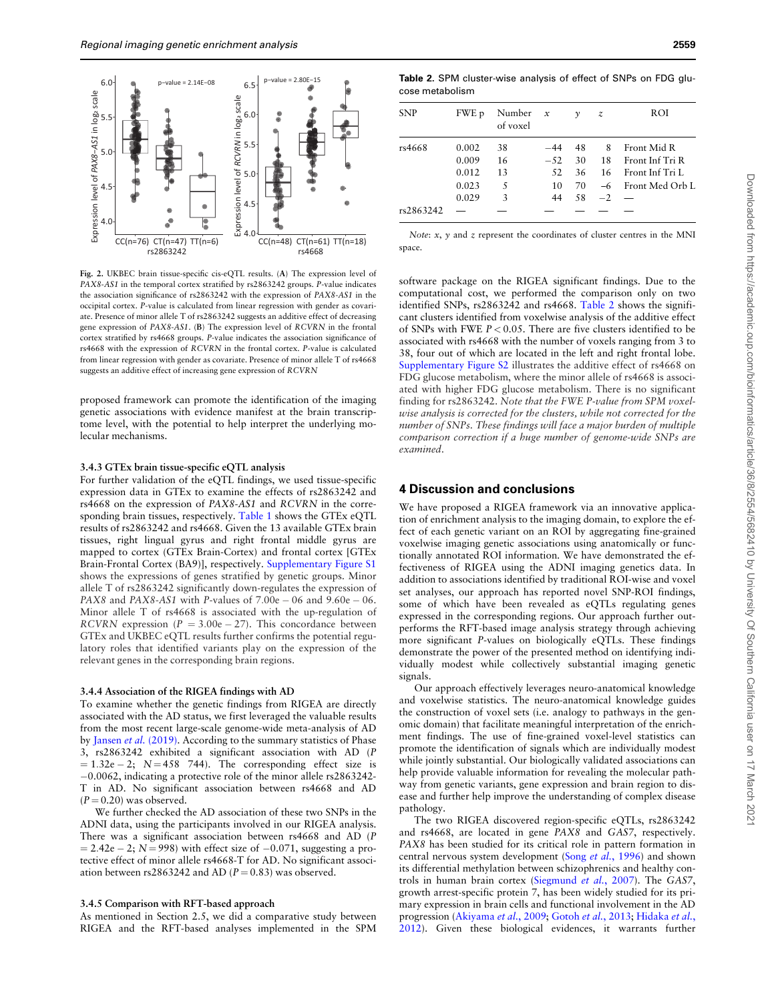<span id="page-5-0"></span>

Fig. 2. UKBEC brain tissue-specific cis-eQTL results. (A) The expression level of PAX8-AS1 in the temporal cortex stratified by rs2863242 groups. P-value indicates the association significance of rs2863242 with the expression of PAX8-AS1 in the occipital cortex. P-value is calculated from linear regression with gender as covariate. Presence of minor allele T of rs2863242 suggests an additive effect of decreasing gene expression of PAX8-AS1. (B) The expression level of RCVRN in the frontal cortex stratified by rs4668 groups. P-value indicates the association significance of rs4668 with the expression of RCVRN in the frontal cortex. P-value is calculated from linear regression with gender as covariate. Presence of minor allele T of rs4668 suggests an additive effect of increasing gene expression of RCVRN

proposed framework can promote the identification of the imaging genetic associations with evidence manifest at the brain transcriptome level, with the potential to help interpret the underlying molecular mechanisms.

#### 3.4.3 GTEx brain tissue-specific eQTL analysis

For further validation of the eQTL findings, we used tissue-specific expression data in GTEx to examine the effects of rs2863242 and rs4668 on the expression of PAX8-AS1 and RCVRN in the corresponding brain tissues, respectively. [Table 1](#page-4-0) shows the GTEx eQTL results of rs2863242 and rs4668. Given the 13 available GTEx brain tissues, right lingual gyrus and right frontal middle gyrus are mapped to cortex (GTEx Brain-Cortex) and frontal cortex [GTEx Brain-Frontal Cortex (BA9)], respectively. [Supplementary Figure S1](https://academic.oup.com/bioinformatics/article-lookup/doi/10.1093/bioinformatics/btz948#supplementary-data) shows the expressions of genes stratified by genetic groups. Minor allele T of rs2863242 significantly down-regulates the expression of PAX8 and PAX8-AS1 with P-values of  $7.00e - 06$  and  $9.60e - 06$ . Minor allele T of rs4668 is associated with the up-regulation of RCVRN expression ( $P = 3.00e - 27$ ). This concordance between GTEx and UKBEC eQTL results further confirms the potential regulatory roles that identified variants play on the expression of the relevant genes in the corresponding brain regions.

#### 3.4.4 Association of the RIGEA findings with AD

To examine whether the genetic findings from RIGEA are directly associated with the AD status, we first leveraged the valuable results from the most recent large-scale genome-wide meta-analysis of AD by Jansen et al. [\(2019\).](#page-6-0) According to the summary statistics of Phase 3, rs2863242 exhibited a significant association with AD (P  $= 1.32e - 2$ ;  $N = 458$  744). The corresponding effect size is 0.0062, indicating a protective role of the minor allele rs2863242- T in AD. No significant association between rs4668 and AD  $(P = 0.20)$  was observed.

We further checked the AD association of these two SNPs in the ADNI data, using the participants involved in our RIGEA analysis. There was a significant association between rs4668 and AD (P  $= 2.42e - 2$ ; N = 998) with effect size of  $-0.071$ , suggesting a protective effect of minor allele rs4668-T for AD. No significant association between rs2863242 and AD ( $P = 0.83$ ) was observed.

#### 3.4.5 Comparison with RFT-based approach

As mentioned in Section 2.5, we did a comparative study between RIGEA and the RFT-based analyses implemented in the SPM

Table 2. SPM cluster-wise analysis of effect of SNPs on FDG glucose metabolism

| <b>SNP</b> | FWE p | Number $x$<br>of voxel |       | $\mathcal V$ | z        | ROI                |
|------------|-------|------------------------|-------|--------------|----------|--------------------|
| rs4668     | 0.002 | 38                     | $-44$ | 48           | 8        | Front Mid R        |
|            | 0.009 | 16                     | $-52$ | 30           |          | 18 Front Inf Tri R |
|            | 0.012 | 13                     | 52    | 36           |          | 16 Front Inf Tri L |
|            | 0.023 | .5                     | 10    | 70           |          | -6 Front Med Orb L |
|            | 0.029 | 3                      | 44    | 58           | $-2$ $-$ |                    |
| rs2863242  |       |                        |       |              |          |                    |

Note:  $x$ ,  $y$  and  $z$  represent the coordinates of cluster centres in the MNI space.

software package on the RIGEA significant findings. Due to the computational cost, we performed the comparison only on two identified SNPs, rs2863242 and rs4668. Table 2 shows the significant clusters identified from voxelwise analysis of the additive effect of SNPs with FWE  $P < 0.05$ . There are five clusters identified to be associated with rs4668 with the number of voxels ranging from 3 to 38, four out of which are located in the left and right frontal lobe. [Supplementary Figure S2](https://academic.oup.com/bioinformatics/article-lookup/doi/10.1093/bioinformatics/btz948#supplementary-data) illustrates the additive effect of rs4668 on FDG glucose metabolism, where the minor allele of rs4668 is associated with higher FDG glucose metabolism. There is no significant finding for rs2863242. Note that the FWE P-value from SPM voxelwise analysis is corrected for the clusters, while not corrected for the number of SNPs. These findings will face a major burden of multiple comparison correction if a huge number of genome-wide SNPs are examined.

## 4 Discussion and conclusions

We have proposed a RIGEA framework via an innovative application of enrichment analysis to the imaging domain, to explore the effect of each genetic variant on an ROI by aggregating fine-grained voxelwise imaging genetic associations using anatomically or functionally annotated ROI information. We have demonstrated the effectiveness of RIGEA using the ADNI imaging genetics data. In addition to associations identified by traditional ROI-wise and voxel set analyses, our approach has reported novel SNP-ROI findings, some of which have been revealed as eQTLs regulating genes expressed in the corresponding regions. Our approach further outperforms the RFT-based image analysis strategy through achieving more significant P-values on biologically eQTLs. These findings demonstrate the power of the presented method on identifying individually modest while collectively substantial imaging genetic signals.

Our approach effectively leverages neuro-anatomical knowledge and voxelwise statistics. The neuro-anatomical knowledge guides the construction of voxel sets (i.e. analogy to pathways in the genomic domain) that facilitate meaningful interpretation of the enrichment findings. The use of fine-grained voxel-level statistics can promote the identification of signals which are individually modest while jointly substantial. Our biologically validated associations can help provide valuable information for revealing the molecular pathway from genetic variants, gene expression and brain region to disease and further help improve the understanding of complex disease pathology.

The two RIGEA discovered region-specific eQTLs, rs2863242 and rs4668, are located in gene PAX8 and GAS7, respectively. PAX8 has been studied for its critical role in pattern formation in central nervous system development (Song et al.[, 1996\)](#page-6-0) and shown its differential methylation between schizophrenics and healthy controls in human brain cortex ([Siegmund](#page-6-0) et al., 2007). The GAS7, growth arrest-specific protein 7, has been widely studied for its primary expression in brain cells and functional involvement in the AD progression ([Akiyama](#page-6-0) et al., 2009; [Gotoh](#page-6-0) et al., 2013; [Hidaka](#page-6-0) et al., [2012\)](#page-6-0). Given these biological evidences, it warrants further